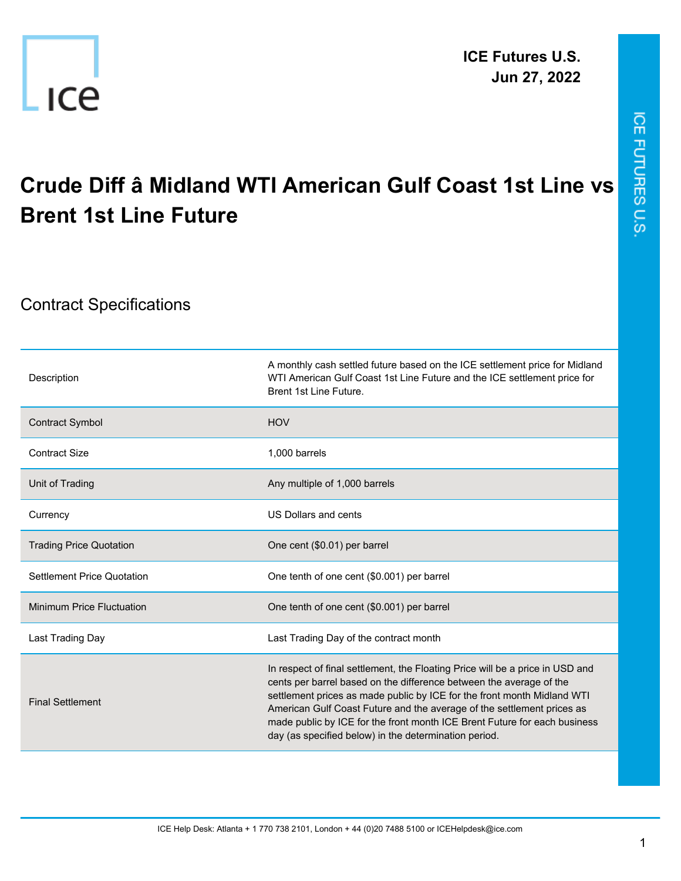

## ICE FUTURES U.S.

## **Crude Diff â Midland WTI American Gulf Coast 1st Line vs Brent 1st Line Future**

## Contract Specifications

| Description                       | A monthly cash settled future based on the ICE settlement price for Midland<br>WTI American Gulf Coast 1st Line Future and the ICE settlement price for<br>Brent 1st Line Future.                                                                                                                                                                                                                                                               |
|-----------------------------------|-------------------------------------------------------------------------------------------------------------------------------------------------------------------------------------------------------------------------------------------------------------------------------------------------------------------------------------------------------------------------------------------------------------------------------------------------|
| <b>Contract Symbol</b>            | <b>HOV</b>                                                                                                                                                                                                                                                                                                                                                                                                                                      |
| <b>Contract Size</b>              | 1,000 barrels                                                                                                                                                                                                                                                                                                                                                                                                                                   |
| Unit of Trading                   | Any multiple of 1,000 barrels                                                                                                                                                                                                                                                                                                                                                                                                                   |
| Currency                          | US Dollars and cents                                                                                                                                                                                                                                                                                                                                                                                                                            |
| <b>Trading Price Quotation</b>    | One cent (\$0.01) per barrel                                                                                                                                                                                                                                                                                                                                                                                                                    |
| <b>Settlement Price Quotation</b> | One tenth of one cent (\$0.001) per barrel                                                                                                                                                                                                                                                                                                                                                                                                      |
| Minimum Price Fluctuation         | One tenth of one cent (\$0.001) per barrel                                                                                                                                                                                                                                                                                                                                                                                                      |
| Last Trading Day                  | Last Trading Day of the contract month                                                                                                                                                                                                                                                                                                                                                                                                          |
| <b>Final Settlement</b>           | In respect of final settlement, the Floating Price will be a price in USD and<br>cents per barrel based on the difference between the average of the<br>settlement prices as made public by ICE for the front month Midland WTI<br>American Gulf Coast Future and the average of the settlement prices as<br>made public by ICE for the front month ICE Brent Future for each business<br>day (as specified below) in the determination period. |